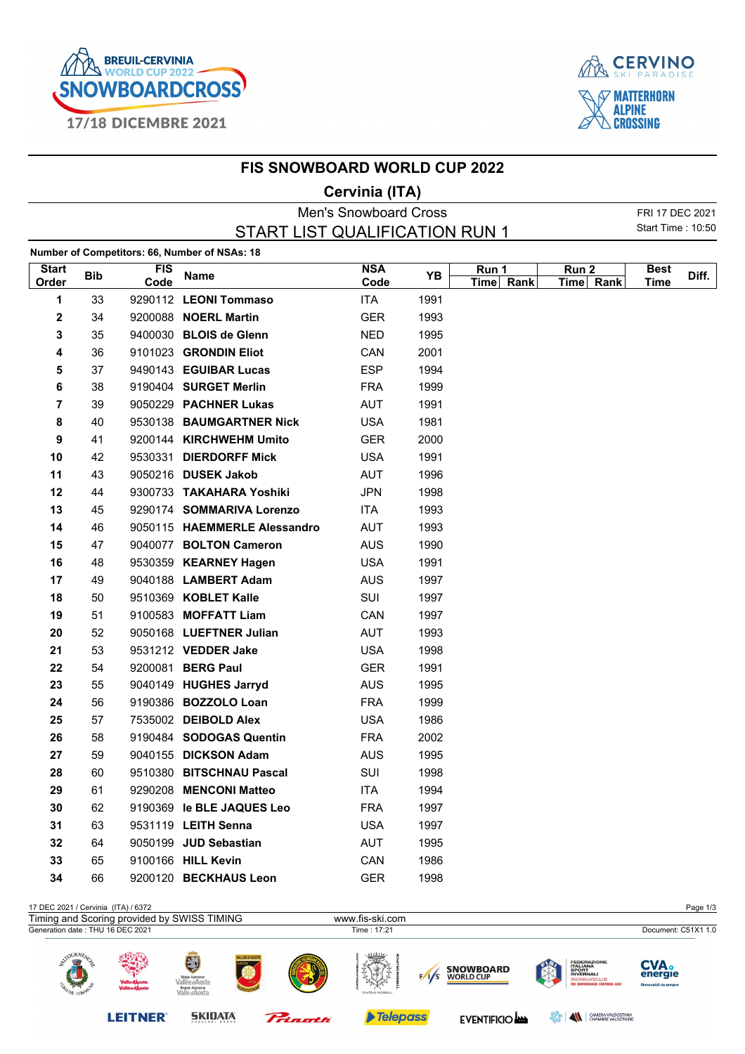



|                                                     |            |                    | <b>FIS SNOWBOARD WORLD CUP 2022</b>           |                              |      |                    |                               |                            |       |
|-----------------------------------------------------|------------|--------------------|-----------------------------------------------|------------------------------|------|--------------------|-------------------------------|----------------------------|-------|
|                                                     |            |                    |                                               | Cervinia (ITA)               |      |                    |                               |                            |       |
|                                                     |            |                    |                                               | <b>Men's Snowboard Cross</b> |      |                    |                               | FRI 17 DEC 2021            |       |
| Start Time: 10:50<br>START LIST QUALIFICATION RUN 1 |            |                    |                                               |                              |      |                    |                               |                            |       |
|                                                     |            |                    | Number of Competitors: 66, Number of NSAs: 18 |                              |      |                    |                               |                            |       |
| <b>Start</b><br>Order                               | <b>Bib</b> | <b>FIS</b><br>Code | Name                                          | <b>NSA</b><br>Code           | YB   | Run 1<br>Time Rank | Run <sub>2</sub><br>Time Rank | <b>Best</b><br><b>Time</b> | Diff. |
| 1                                                   | 33         |                    | 9290112 LEONI Tommaso                         | ITA                          | 1991 |                    |                               |                            |       |
| 2                                                   | 34         |                    | 9200088 NOERL Martin                          | <b>GER</b>                   | 1993 |                    |                               |                            |       |
| 3                                                   | 35         |                    | 9400030 BLOIS de Glenn                        | NED.                         | 1995 |                    |                               |                            |       |
| 4                                                   | 36         |                    | 9101023 GRONDIN Eliot                         | CAN                          | 2001 |                    |                               |                            |       |
| 5                                                   | 37         |                    | 9490143 EGUIBAR Lucas                         | <b>ESP</b>                   | 1994 |                    |                               |                            |       |
| 6                                                   | 38         |                    | 9190404 SURGET Merlin                         | <b>FRA</b>                   | 1999 |                    |                               |                            |       |
| 7                                                   | 39         |                    | 9050229 PACHNER Lukas                         | <b>AUT</b>                   | 1991 |                    |                               |                            |       |
| 8                                                   | 40         |                    | 9530138 BAUMGARTNER Nick                      | <b>USA</b>                   | 1981 |                    |                               |                            |       |
| 9                                                   | 41         |                    | 9200144 KIRCHWEHM Umito                       | <b>GER</b>                   | 2000 |                    |                               |                            |       |
| 10                                                  | 42         |                    | 9530331 DIERDORFF Mick                        | <b>USA</b>                   | 1991 |                    |                               |                            |       |
| 11                                                  | 43         |                    | 9050216 DUSEK Jakob                           | AUT                          | 1996 |                    |                               |                            |       |
| 12                                                  | 44         |                    | 9300733 TAKAHARA Yoshiki                      | <b>JPN</b>                   | 1998 |                    |                               |                            |       |
| 13                                                  | 45         |                    | 9290174 SOMMARIVA Lorenzo                     | ITA                          | 1993 |                    |                               |                            |       |
| 14                                                  | 46         |                    | 9050115 HAEMMERLE Alessandro                  | AUT                          | 1993 |                    |                               |                            |       |
| 15                                                  | 47         |                    | 9040077 BOLTON Cameron                        | AUS                          | 1990 |                    |                               |                            |       |
| 16                                                  | 48         |                    | 9530359 KEARNEY Hagen                         | <b>USA</b>                   | 1991 |                    |                               |                            |       |
| 17                                                  | 49         |                    | 9040188 LAMBERT Adam                          | <b>AUS</b>                   | 1997 |                    |                               |                            |       |
| 18                                                  | 50         |                    | 9510369 KOBLET Kalle                          | SUI                          | 1997 |                    |                               |                            |       |
| 19                                                  | 51         |                    | 9100583 MOFFATT Liam                          | CAN                          | 1997 |                    |                               |                            |       |
| 20                                                  | 52         |                    | 9050168 LUEFTNER Julian                       | AUT                          | 1993 |                    |                               |                            |       |
| 21                                                  | 53         |                    | 9531212 VEDDER Jake                           | <b>USA</b>                   | 1998 |                    |                               |                            |       |
| 22                                                  | 54         |                    | 9200081 BERG Paul                             | <b>GER</b>                   | 1991 |                    |                               |                            |       |
| 23                                                  | 55         |                    | 9040149 HUGHES Jarryd                         | <b>AUS</b>                   | 1995 |                    |                               |                            |       |
| 24                                                  | 56         |                    | 9190386 BOZZOLO Loan                          | <b>FRA</b>                   | 1999 |                    |                               |                            |       |
| 25                                                  | 57         |                    | 7535002 DEIBOLD Alex                          | <b>USA</b>                   | 1986 |                    |                               |                            |       |
| 26                                                  | 58         |                    | 9190484 SODOGAS Quentin                       | <b>FRA</b>                   | 2002 |                    |                               |                            |       |
| 27                                                  | 59         |                    | 9040155 DICKSON Adam                          | AUS                          | 1995 |                    |                               |                            |       |
| 28                                                  | 60         |                    | 9510380 BITSCHNAU Pascal                      | SUI                          | 1998 |                    |                               |                            |       |
| 29                                                  | 61         |                    | 9290208 MENCONI Matteo                        | <b>ITA</b>                   | 1994 |                    |                               |                            |       |
| 30                                                  | 62         |                    | 9190369 le BLE JAQUES Leo                     | <b>FRA</b>                   | 1997 |                    |                               |                            |       |
| 31                                                  | 63         |                    | 9531119 LEITH Senna                           | <b>USA</b>                   | 1997 |                    |                               |                            |       |
| 32                                                  | 64         |                    | 9050199 JUD Sebastian                         | AUT                          | 1995 |                    |                               |                            |       |
| 33                                                  | 65         |                    | 9100166 HILL Kevin                            | CAN                          | 1986 |                    |                               |                            |       |
| 34                                                  | 66         |                    | 9200120 BECKHAUS Leon                         | <b>GER</b>                   | 1998 |                    |                               |                            |       |

17 DEC 2021 / Cervinia (ITA) / 6372 Page 1/3 Timing and Scoring provided by SWISS TIMING www.fis-ski.com www.fis-ski.com<br>Generation date : THU 16 DEC 2021 Time : 17:21 Document: C51X1 **CVA**.<br>energie **FEDERAZIO<br>ITALIANA<br>SPORT<br>INVERNALI SNOWBOARD**<br>WORLD CUP  $\sqrt{s}$ **Telepass LEITNER® SKIDATA** EVENTIFICIO **BORS AN CHAMBRE VALDOSTANA** Princetti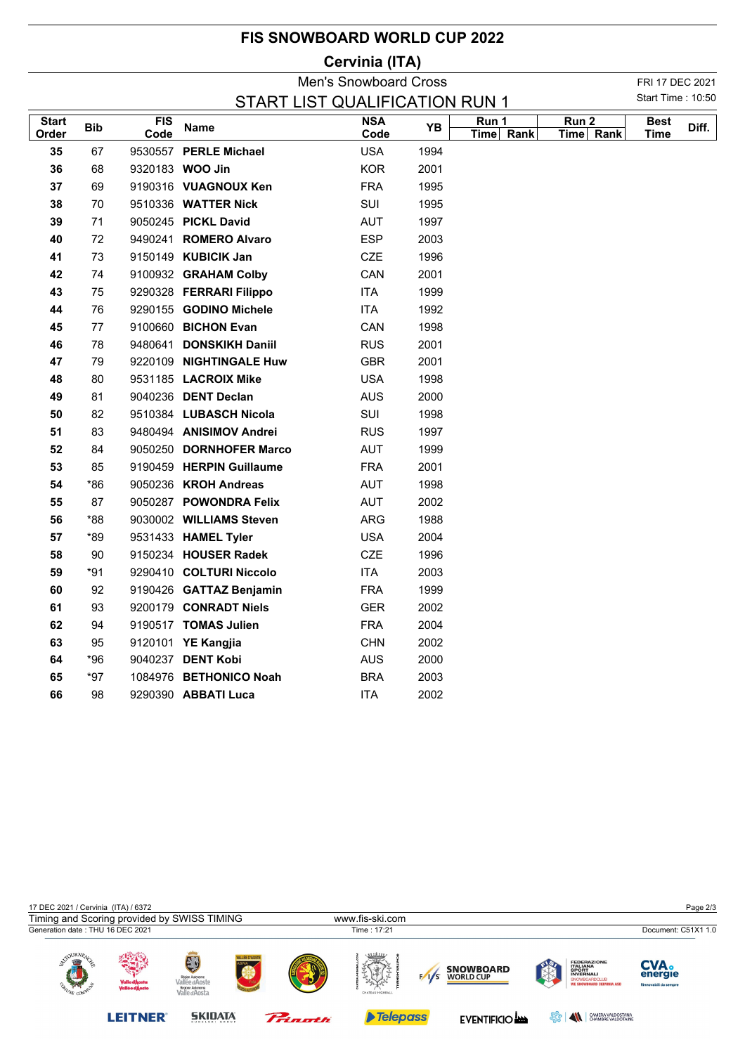| <b>FIS SNOWBOARD WORLD CUP 2022</b> |  |  |
|-------------------------------------|--|--|
|-------------------------------------|--|--|

## **Cervinia (ITA)**

|              | <b>Men's Snowboard Cross</b>                               |      |                          |                         |      |           |                  |             | FRI 17 DEC 2021 |
|--------------|------------------------------------------------------------|------|--------------------------|-------------------------|------|-----------|------------------|-------------|-----------------|
|              | Start Time: 10:50<br><b>START LIST QUALIFICATION RUN 1</b> |      |                          |                         |      |           |                  |             |                 |
| <b>Start</b> | <b>Bib</b>                                                 | FIS  |                          | $\overline{\text{NSA}}$ | YB   | Run 1     | Run <sub>2</sub> | <b>Best</b> |                 |
| Order        |                                                            | Code | <b>Name</b>              | Code                    |      | Time Rank | Time Rank        | <b>Time</b> | Diff.           |
| 35           | 67                                                         |      | 9530557 PERLE Michael    | <b>USA</b>              | 1994 |           |                  |             |                 |
| 36           | 68                                                         |      | 9320183 WOO Jin          | <b>KOR</b>              | 2001 |           |                  |             |                 |
| 37           | 69                                                         |      | 9190316 VUAGNOUX Ken     | <b>FRA</b>              | 1995 |           |                  |             |                 |
| 38           | 70                                                         |      | 9510336 WATTER Nick      | SUI                     | 1995 |           |                  |             |                 |
| 39           | 71                                                         |      | 9050245 PICKL David      | AUT                     | 1997 |           |                  |             |                 |
| 40           | 72                                                         |      | 9490241 ROMERO Alvaro    | <b>ESP</b>              | 2003 |           |                  |             |                 |
| 41           | 73                                                         |      | 9150149 KUBICIK Jan      | <b>CZE</b>              | 1996 |           |                  |             |                 |
| 42           | 74                                                         |      | 9100932 GRAHAM Colby     | CAN                     | 2001 |           |                  |             |                 |
| 43           | 75                                                         |      | 9290328 FERRARI Filippo  | <b>ITA</b>              | 1999 |           |                  |             |                 |
| 44           | 76                                                         |      | 9290155 GODINO Michele   | ITA                     | 1992 |           |                  |             |                 |
| 45           | 77                                                         |      | 9100660 BICHON Evan      | CAN                     | 1998 |           |                  |             |                 |
| 46           | 78                                                         |      | 9480641 DONSKIKH Daniil  | <b>RUS</b>              | 2001 |           |                  |             |                 |
| 47           | 79                                                         |      | 9220109 NIGHTINGALE Huw  | <b>GBR</b>              | 2001 |           |                  |             |                 |
| 48           | 80                                                         |      | 9531185 LACROIX Mike     | <b>USA</b>              | 1998 |           |                  |             |                 |
| 49           | 81                                                         |      | 9040236 DENT Declan      | <b>AUS</b>              | 2000 |           |                  |             |                 |
| 50           | 82                                                         |      | 9510384 LUBASCH Nicola   | SUI                     | 1998 |           |                  |             |                 |
| 51           | 83                                                         |      | 9480494 ANISIMOV Andrei  | <b>RUS</b>              | 1997 |           |                  |             |                 |
| 52           | 84                                                         |      | 9050250 DORNHOFER Marco  | <b>AUT</b>              | 1999 |           |                  |             |                 |
| 53           | 85                                                         |      | 9190459 HERPIN Guillaume | <b>FRA</b>              | 2001 |           |                  |             |                 |
| 54           | $*86$                                                      |      | 9050236 KROH Andreas     | <b>AUT</b>              | 1998 |           |                  |             |                 |
| 55           | 87                                                         |      | 9050287 POWONDRA Felix   | AUT                     | 2002 |           |                  |             |                 |
| 56           | $*88$                                                      |      | 9030002 WILLIAMS Steven  | ARG                     | 1988 |           |                  |             |                 |
| 57           | *89                                                        |      | 9531433 HAMEL Tyler      | <b>USA</b>              | 2004 |           |                  |             |                 |
| 58           | 90                                                         |      | 9150234 HOUSER Radek     | <b>CZE</b>              | 1996 |           |                  |             |                 |
| 59           | *91                                                        |      | 9290410 COLTURI Niccolo  | <b>ITA</b>              | 2003 |           |                  |             |                 |
| 60           | 92                                                         |      | 9190426 GATTAZ Benjamin  | <b>FRA</b>              | 1999 |           |                  |             |                 |
| 61           | 93                                                         |      | 9200179 CONRADT Niels    | <b>GER</b>              | 2002 |           |                  |             |                 |
| 62           | 94                                                         |      | 9190517 TOMAS Julien     | <b>FRA</b>              | 2004 |           |                  |             |                 |
| 63           | 95                                                         |      | 9120101 YE Kangjia       | <b>CHN</b>              | 2002 |           |                  |             |                 |
| 64           | *96                                                        |      | 9040237 DENT Kobi        | <b>AUS</b>              | 2000 |           |                  |             |                 |
| 65           | *97                                                        |      | 1084976 BETHONICO Noah   | <b>BRA</b>              | 2003 |           |                  |             |                 |
| 66           | 98                                                         |      | 9290390 ABBATI Luca      | <b>ITA</b>              | 2002 |           |                  |             |                 |
|              |                                                            |      |                          |                         |      |           |                  |             |                 |